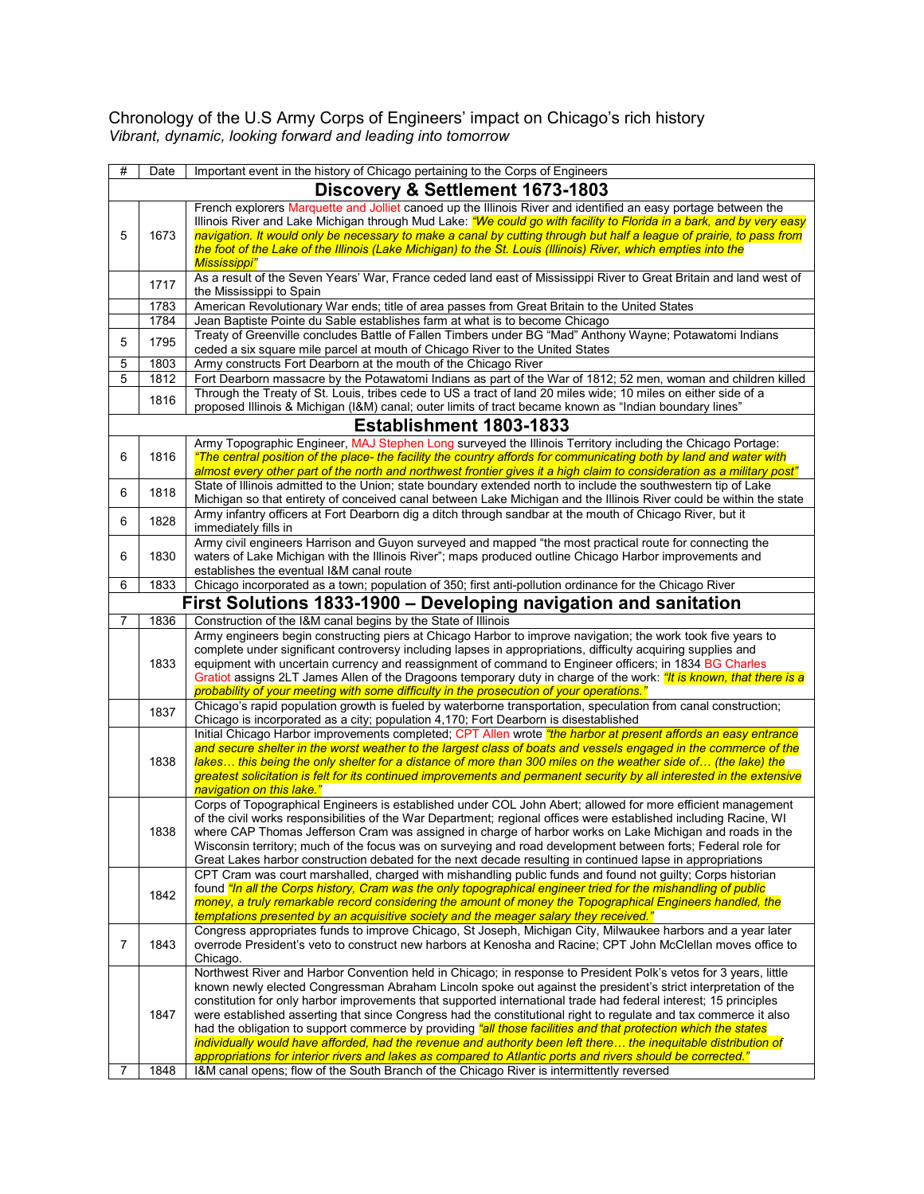Chronology of the U.S Army Corps of Engineers' impact on Chicago's rich history *Vibrant, dynamic, looking forward and leading into tomorrow*

| # | Date                             | Important event in the history of Chicago pertaining to the Corps of Engineers                                                                                                                                                          |  |  |  |
|---|----------------------------------|-----------------------------------------------------------------------------------------------------------------------------------------------------------------------------------------------------------------------------------------|--|--|--|
|   | Discovery & Settlement 1673-1803 |                                                                                                                                                                                                                                         |  |  |  |
|   |                                  | French explorers Marquette and Jolliet canoed up the Illinois River and identified an easy portage between the                                                                                                                          |  |  |  |
|   |                                  | Illinois River and Lake Michigan through Mud Lake: "We could go with facility to Florida in a bark, and by very easy                                                                                                                    |  |  |  |
| 5 | 1673                             | navigation. It would only be necessary to make a canal by cutting through but half a league of prairie, to pass from<br>the foot of the Lake of the Illinois (Lake Michigan) to the St. Louis (Illinois) River, which empties into the  |  |  |  |
|   |                                  | <b>Mississippi"</b>                                                                                                                                                                                                                     |  |  |  |
|   | 1717                             | As a result of the Seven Years' War, France ceded land east of Mississippi River to Great Britain and land west of                                                                                                                      |  |  |  |
|   |                                  | the Mississippi to Spain                                                                                                                                                                                                                |  |  |  |
|   | 1783<br>1784                     | American Revolutionary War ends; title of area passes from Great Britain to the United States<br>Jean Baptiste Pointe du Sable establishes farm at what is to become Chicago                                                            |  |  |  |
|   |                                  | Treaty of Greenville concludes Battle of Fallen Timbers under BG "Mad" Anthony Wayne; Potawatomi Indians                                                                                                                                |  |  |  |
| 5 | 1795                             | ceded a six square mile parcel at mouth of Chicago River to the United States                                                                                                                                                           |  |  |  |
| 5 | 1803                             | Army constructs Fort Dearborn at the mouth of the Chicago River                                                                                                                                                                         |  |  |  |
| 5 | 1812                             | Fort Dearborn massacre by the Potawatomi Indians as part of the War of 1812; 52 men, woman and children killed                                                                                                                          |  |  |  |
|   | 1816                             | Through the Treaty of St. Louis, tribes cede to US a tract of land 20 miles wide; 10 miles on either side of a                                                                                                                          |  |  |  |
|   |                                  | proposed Illinois & Michigan (I&M) canal; outer limits of tract became known as "Indian boundary lines"                                                                                                                                 |  |  |  |
|   |                                  | <b>Establishment 1803-1833</b>                                                                                                                                                                                                          |  |  |  |
| 6 | 1816                             | Army Topographic Engineer, MAJ Stephen Long surveyed the Illinois Territory including the Chicago Portage:<br>"The central position of the place- the facility the country affords for communicating both by land and water with        |  |  |  |
|   |                                  | almost every other part of the north and northwest frontier gives it a high claim to consideration as a military post"                                                                                                                  |  |  |  |
| 6 | 1818                             | State of Illinois admitted to the Union; state boundary extended north to include the southwestern tip of Lake                                                                                                                          |  |  |  |
|   |                                  | Michigan so that entirety of conceived canal between Lake Michigan and the Illinois River could be within the state                                                                                                                     |  |  |  |
| 6 | 1828                             | Army infantry officers at Fort Dearborn dig a ditch through sandbar at the mouth of Chicago River, but it<br>immediately fills in                                                                                                       |  |  |  |
|   |                                  | Army civil engineers Harrison and Guyon surveyed and mapped "the most practical route for connecting the                                                                                                                                |  |  |  |
| 6 | 1830                             | waters of Lake Michigan with the Illinois River"; maps produced outline Chicago Harbor improvements and                                                                                                                                 |  |  |  |
|   |                                  | establishes the eventual I&M canal route                                                                                                                                                                                                |  |  |  |
| 6 | 1833                             | Chicago incorporated as a town; population of 350; first anti-pollution ordinance for the Chicago River                                                                                                                                 |  |  |  |
|   |                                  | First Solutions 1833-1900 - Developing navigation and sanitation                                                                                                                                                                        |  |  |  |
| 7 | 1836                             | Construction of the I&M canal begins by the State of Illinois                                                                                                                                                                           |  |  |  |
|   |                                  | Army engineers begin constructing piers at Chicago Harbor to improve navigation; the work took five years to<br>complete under significant controversy including lapses in appropriations, difficulty acquiring supplies and            |  |  |  |
|   | 1833                             | equipment with uncertain currency and reassignment of command to Engineer officers; in 1834 BG Charles                                                                                                                                  |  |  |  |
|   |                                  | Gratiot assigns 2LT James Allen of the Dragoons temporary duty in charge of the work: "It is known, that there is a                                                                                                                     |  |  |  |
|   |                                  | probability of your meeting with some difficulty in the prosecution of your operations."                                                                                                                                                |  |  |  |
|   | 1837                             | Chicago's rapid population growth is fueled by waterborne transportation, speculation from canal construction;<br>Chicago is incorporated as a city; population 4,170; Fort Dearborn is disestablished                                  |  |  |  |
|   |                                  | Initial Chicago Harbor improvements completed; CPT Allen wrote "the harbor at present affords an easy entrance                                                                                                                          |  |  |  |
|   |                                  | and secure shelter in the worst weather to the largest class of boats and vessels engaged in the commerce of the                                                                                                                        |  |  |  |
|   | 1838                             | lakes this being the only shelter for a distance of more than 300 miles on the weather side of (the lake) the<br>greatest solicitation is felt for its continued improvements and permanent security by all interested in the extensive |  |  |  |
|   |                                  | navigation on this lake."                                                                                                                                                                                                               |  |  |  |
|   |                                  | Corps of Topographical Engineers is established under COL John Abert; allowed for more efficient management                                                                                                                             |  |  |  |
|   |                                  | of the civil works responsibilities of the War Department; regional offices were established including Racine, WI                                                                                                                       |  |  |  |
|   | 1838                             | where CAP Thomas Jefferson Cram was assigned in charge of harbor works on Lake Michigan and roads in the<br>Wisconsin territory; much of the focus was on surveying and road development between forts; Federal role for                |  |  |  |
|   |                                  | Great Lakes harbor construction debated for the next decade resulting in continued lapse in appropriations                                                                                                                              |  |  |  |
|   |                                  | CPT Cram was court marshalled, charged with mishandling public funds and found not guilty; Corps historian                                                                                                                              |  |  |  |
|   | 1842                             | found "In all the Corps history, Cram was the only topographical engineer tried for the mishandling of public                                                                                                                           |  |  |  |
|   |                                  | money, a truly remarkable record considering the amount of money the Topographical Engineers handled, the                                                                                                                               |  |  |  |
|   |                                  | temptations presented by an acquisitive society and the meager salary they received."<br>Congress appropriates funds to improve Chicago, St Joseph, Michigan City, Milwaukee harbors and a year later                                   |  |  |  |
| 7 | 1843                             | overrode President's veto to construct new harbors at Kenosha and Racine; CPT John McClellan moves office to                                                                                                                            |  |  |  |
|   |                                  | Chicago.                                                                                                                                                                                                                                |  |  |  |
|   |                                  | Northwest River and Harbor Convention held in Chicago; in response to President Polk's vetos for 3 years, little                                                                                                                        |  |  |  |
|   |                                  | known newly elected Congressman Abraham Lincoln spoke out against the president's strict interpretation of the<br>constitution for only harbor improvements that supported international trade had federal interest; 15 principles      |  |  |  |
|   | 1847                             | were established asserting that since Congress had the constitutional right to regulate and tax commerce it also                                                                                                                        |  |  |  |
|   |                                  | had the obligation to support commerce by providing "all those facilities and that protection which the states                                                                                                                          |  |  |  |
|   |                                  | individually would have afforded, had the revenue and authority been left there the inequitable distribution of                                                                                                                         |  |  |  |
| 7 | 1848                             | appropriations for interior rivers and lakes as compared to Atlantic ports and rivers should be corrected."<br>I&M canal opens; flow of the South Branch of the Chicago River is intermittently reversed                                |  |  |  |
|   |                                  |                                                                                                                                                                                                                                         |  |  |  |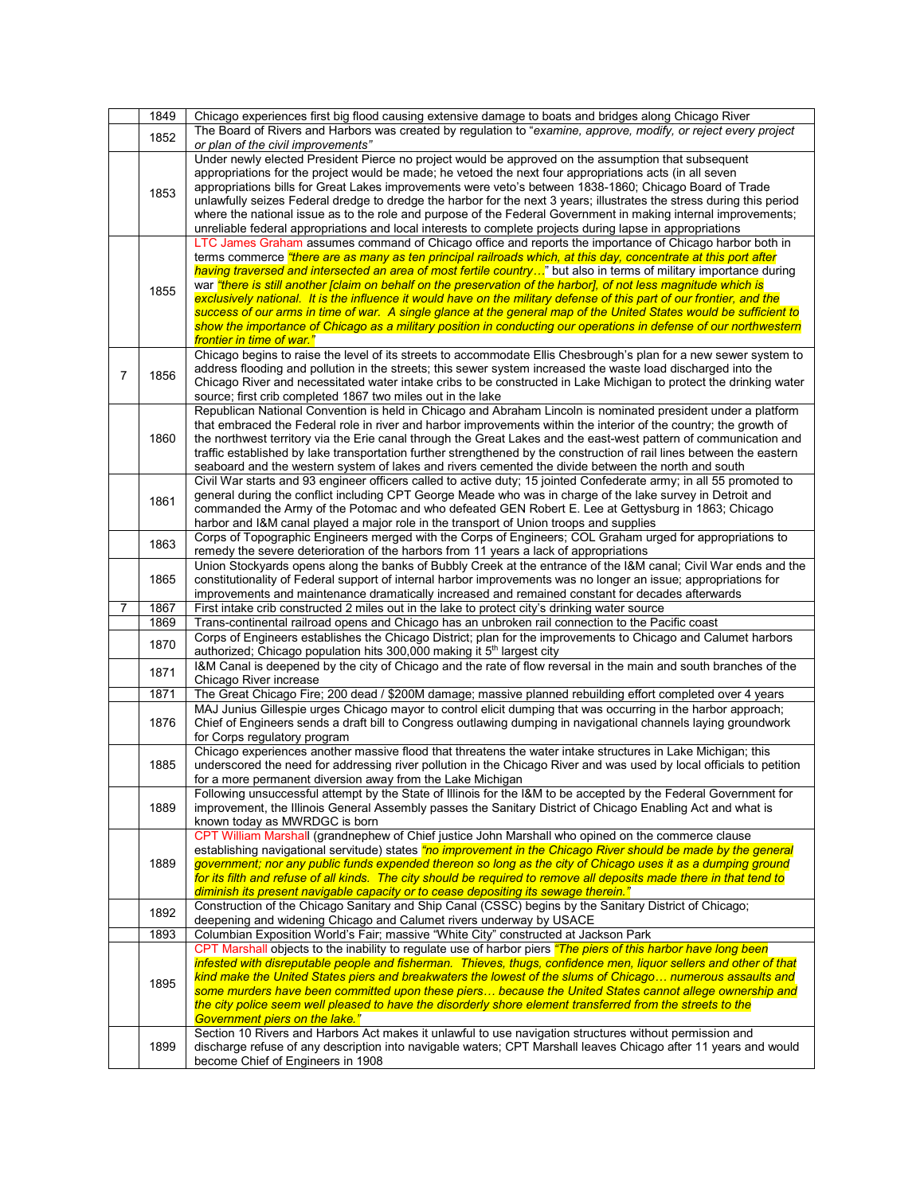|                | 1849 | Chicago experiences first big flood causing extensive damage to boats and bridges along Chicago River                                                                                                                                                                                                                                                                                                                                                                                                                                                                                                                                                                                                                                                                                                                                                                      |
|----------------|------|----------------------------------------------------------------------------------------------------------------------------------------------------------------------------------------------------------------------------------------------------------------------------------------------------------------------------------------------------------------------------------------------------------------------------------------------------------------------------------------------------------------------------------------------------------------------------------------------------------------------------------------------------------------------------------------------------------------------------------------------------------------------------------------------------------------------------------------------------------------------------|
|                | 1852 | The Board of Rivers and Harbors was created by regulation to "examine, approve, modify, or reject every project<br>or plan of the civil improvements"                                                                                                                                                                                                                                                                                                                                                                                                                                                                                                                                                                                                                                                                                                                      |
|                | 1853 | Under newly elected President Pierce no project would be approved on the assumption that subsequent<br>appropriations for the project would be made; he vetoed the next four appropriations acts (in all seven<br>appropriations bills for Great Lakes improvements were veto's between 1838-1860; Chicago Board of Trade<br>unlawfully seizes Federal dredge to dredge the harbor for the next 3 years; illustrates the stress during this period<br>where the national issue as to the role and purpose of the Federal Government in making internal improvements;<br>unreliable federal appropriations and local interests to complete projects during lapse in appropriations                                                                                                                                                                                          |
|                | 1855 | LTC James Graham assumes command of Chicago office and reports the importance of Chicago harbor both in<br>terms commerce <i>"there are as many as ten principal railroads which, at this day, concentrate at this port after</i><br>having traversed and intersected an area of most fertile country" but also in terms of military importance during<br>war "there is still another [claim on behalf on the preservation of the harbor], of not less magnitude which is<br>exclusively national. It is the influence it would have on the military defense of this part of our frontier, and the<br>success of our arms in time of war. A single glance at the general map of the United States would be sufficient to<br>show the importance of Chicago as a military position in conducting our operations in defense of our northwestern<br>frontier in time of war." |
| $\overline{7}$ | 1856 | Chicago begins to raise the level of its streets to accommodate Ellis Chesbrough's plan for a new sewer system to<br>address flooding and pollution in the streets; this sewer system increased the waste load discharged into the<br>Chicago River and necessitated water intake cribs to be constructed in Lake Michigan to protect the drinking water<br>source; first crib completed 1867 two miles out in the lake                                                                                                                                                                                                                                                                                                                                                                                                                                                    |
|                | 1860 | Republican National Convention is held in Chicago and Abraham Lincoln is nominated president under a platform<br>that embraced the Federal role in river and harbor improvements within the interior of the country; the growth of<br>the northwest territory via the Erie canal through the Great Lakes and the east-west pattern of communication and<br>traffic established by lake transportation further strengthened by the construction of rail lines between the eastern<br>seaboard and the western system of lakes and rivers cemented the divide between the north and south                                                                                                                                                                                                                                                                                    |
|                | 1861 | Civil War starts and 93 engineer officers called to active duty; 15 jointed Confederate army; in all 55 promoted to<br>general during the conflict including CPT George Meade who was in charge of the lake survey in Detroit and<br>commanded the Army of the Potomac and who defeated GEN Robert E. Lee at Gettysburg in 1863; Chicago<br>harbor and I&M canal played a major role in the transport of Union troops and supplies                                                                                                                                                                                                                                                                                                                                                                                                                                         |
|                | 1863 | Corps of Topographic Engineers merged with the Corps of Engineers; COL Graham urged for appropriations to<br>remedy the severe deterioration of the harbors from 11 years a lack of appropriations                                                                                                                                                                                                                                                                                                                                                                                                                                                                                                                                                                                                                                                                         |
|                | 1865 | Union Stockyards opens along the banks of Bubbly Creek at the entrance of the I&M canal; Civil War ends and the<br>constitutionality of Federal support of internal harbor improvements was no longer an issue; appropriations for<br>improvements and maintenance dramatically increased and remained constant for decades afterwards                                                                                                                                                                                                                                                                                                                                                                                                                                                                                                                                     |
| 7              | 1867 | First intake crib constructed 2 miles out in the lake to protect city's drinking water source                                                                                                                                                                                                                                                                                                                                                                                                                                                                                                                                                                                                                                                                                                                                                                              |
|                | 1869 | Trans-continental railroad opens and Chicago has an unbroken rail connection to the Pacific coast                                                                                                                                                                                                                                                                                                                                                                                                                                                                                                                                                                                                                                                                                                                                                                          |
|                | 1870 | Corps of Engineers establishes the Chicago District; plan for the improvements to Chicago and Calumet harbors<br>authorized; Chicago population hits 300,000 making it 5 <sup>th</sup> largest city                                                                                                                                                                                                                                                                                                                                                                                                                                                                                                                                                                                                                                                                        |
|                | 1871 | I&M Canal is deepened by the city of Chicago and the rate of flow reversal in the main and south branches of the<br>Chicago River increase                                                                                                                                                                                                                                                                                                                                                                                                                                                                                                                                                                                                                                                                                                                                 |
|                | 1871 | The Great Chicago Fire; 200 dead / \$200M damage; massive planned rebuilding effort completed over 4 years                                                                                                                                                                                                                                                                                                                                                                                                                                                                                                                                                                                                                                                                                                                                                                 |
|                | 1876 | MAJ Junius Gillespie urges Chicago mayor to control elicit dumping that was occurring in the harbor approach;<br>Chief of Engineers sends a draft bill to Congress outlawing dumping in navigational channels laying groundwork<br>for Corps regulatory program                                                                                                                                                                                                                                                                                                                                                                                                                                                                                                                                                                                                            |
|                | 1885 | Chicago experiences another massive flood that threatens the water intake structures in Lake Michigan; this<br>underscored the need for addressing river pollution in the Chicago River and was used by local officials to petition<br>for a more permanent diversion away from the Lake Michigan                                                                                                                                                                                                                                                                                                                                                                                                                                                                                                                                                                          |
|                | 1889 | Following unsuccessful attempt by the State of Illinois for the I&M to be accepted by the Federal Government for<br>improvement, the Illinois General Assembly passes the Sanitary District of Chicago Enabling Act and what is<br>known today as MWRDGC is born                                                                                                                                                                                                                                                                                                                                                                                                                                                                                                                                                                                                           |
|                | 1889 | CPT William Marshall (grandnephew of Chief justice John Marshall who opined on the commerce clause<br>establishing navigational servitude) states <i>"no improvement in the Chicago River should be made by the general</i><br>government; nor any public funds expended thereon so long as the city of Chicago uses it as a dumping ground<br>for its filth and refuse of all kinds. The city should be required to remove all deposits made there in that tend to<br>diminish its present navigable capacity or to cease depositing its sewage therein."                                                                                                                                                                                                                                                                                                                 |
|                | 1892 | Construction of the Chicago Sanitary and Ship Canal (CSSC) begins by the Sanitary District of Chicago;<br>deepening and widening Chicago and Calumet rivers underway by USACE                                                                                                                                                                                                                                                                                                                                                                                                                                                                                                                                                                                                                                                                                              |
|                | 1893 | Columbian Exposition World's Fair; massive "White City" constructed at Jackson Park                                                                                                                                                                                                                                                                                                                                                                                                                                                                                                                                                                                                                                                                                                                                                                                        |
|                | 1895 | CPT Marshall objects to the inability to regulate use of harbor piers "The piers of this harbor have long been<br>infested with disreputable people and fisherman. Thieves, thugs, confidence men, liquor sellers and other of that<br>kind make the United States piers and breakwaters the lowest of the slums of Chicago numerous assaults and<br>some murders have been committed upon these piers because the United States cannot allege ownership and<br>the city police seem well pleased to have the disorderly shore element transferred from the streets to the<br>Government piers on the lake."                                                                                                                                                                                                                                                               |
|                | 1899 | Section 10 Rivers and Harbors Act makes it unlawful to use navigation structures without permission and<br>discharge refuse of any description into navigable waters; CPT Marshall leaves Chicago after 11 years and would<br>become Chief of Engineers in 1908                                                                                                                                                                                                                                                                                                                                                                                                                                                                                                                                                                                                            |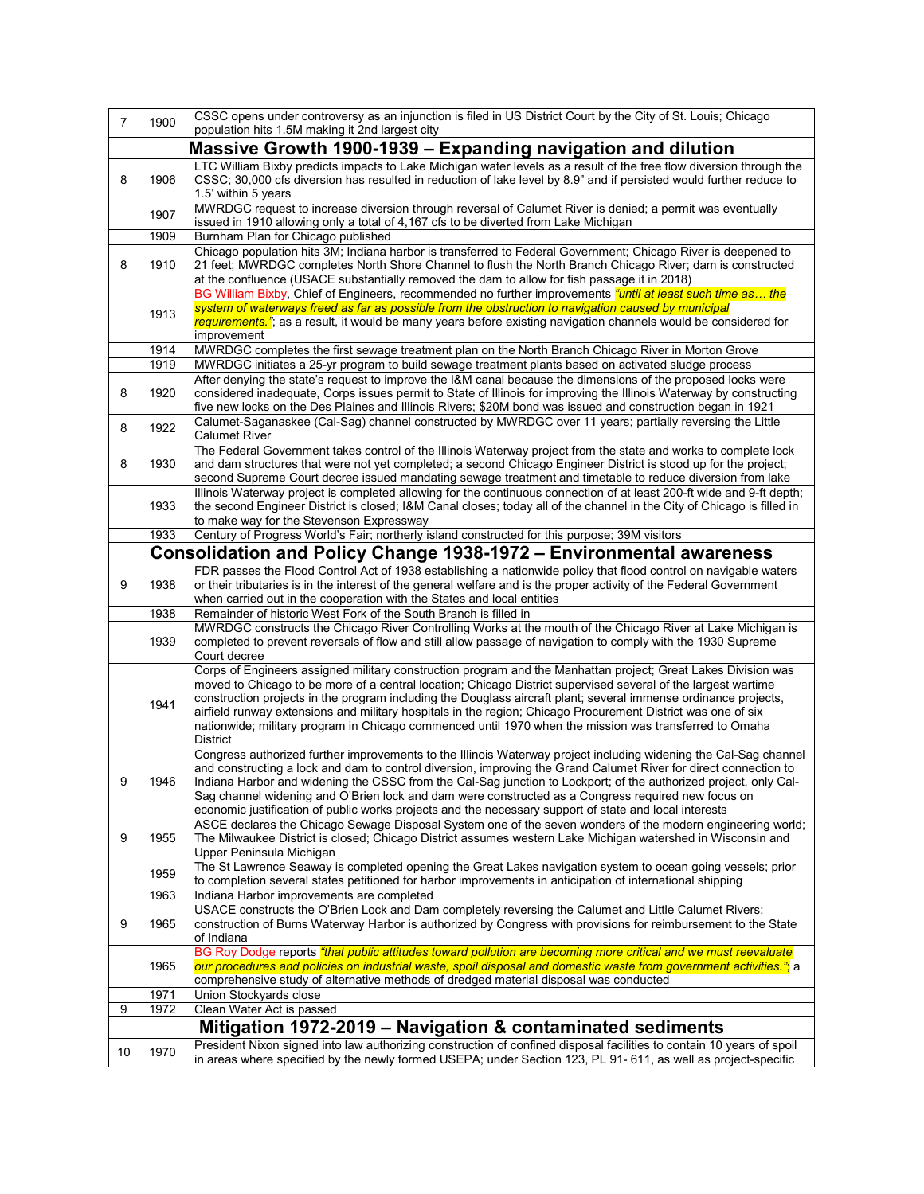| $\overline{7}$                                             | 1900                                                         | CSSC opens under controversy as an injunction is filed in US District Court by the City of St. Louis; Chicago<br>population hits 1.5M making it 2nd largest city                                                                                                  |  |  |  |  |
|------------------------------------------------------------|--------------------------------------------------------------|-------------------------------------------------------------------------------------------------------------------------------------------------------------------------------------------------------------------------------------------------------------------|--|--|--|--|
|                                                            |                                                              |                                                                                                                                                                                                                                                                   |  |  |  |  |
|                                                            | Massive Growth 1900-1939 – Expanding navigation and dilution |                                                                                                                                                                                                                                                                   |  |  |  |  |
| 8                                                          | 1906                                                         | LTC William Bixby predicts impacts to Lake Michigan water levels as a result of the free flow diversion through the<br>CSSC; 30,000 cfs diversion has resulted in reduction of lake level by 8.9" and if persisted would further reduce to<br>1.5' within 5 years |  |  |  |  |
|                                                            | 1907                                                         | MWRDGC request to increase diversion through reversal of Calumet River is denied; a permit was eventually<br>issued in 1910 allowing only a total of 4,167 cfs to be diverted from Lake Michigan                                                                  |  |  |  |  |
|                                                            | 1909                                                         | Burnham Plan for Chicago published                                                                                                                                                                                                                                |  |  |  |  |
|                                                            |                                                              | Chicago population hits 3M; Indiana harbor is transferred to Federal Government; Chicago River is deepened to                                                                                                                                                     |  |  |  |  |
| 8                                                          | 1910                                                         | 21 feet; MWRDGC completes North Shore Channel to flush the North Branch Chicago River; dam is constructed                                                                                                                                                         |  |  |  |  |
|                                                            |                                                              | at the confluence (USACE substantially removed the dam to allow for fish passage it in 2018)<br>BG William Bixby, Chief of Engineers, recommended no further improvements "until at least such time as the                                                        |  |  |  |  |
|                                                            |                                                              | system of waterways freed as far as possible from the obstruction to navigation caused by municipal                                                                                                                                                               |  |  |  |  |
|                                                            | 1913                                                         | requirements."; as a result, it would be many years before existing navigation channels would be considered for                                                                                                                                                   |  |  |  |  |
|                                                            | 1914                                                         | improvement                                                                                                                                                                                                                                                       |  |  |  |  |
|                                                            | 1919                                                         | MWRDGC completes the first sewage treatment plan on the North Branch Chicago River in Morton Grove<br>MWRDGC initiates a 25-yr program to build sewage treatment plants based on activated sludge process                                                         |  |  |  |  |
|                                                            |                                                              | After denying the state's request to improve the I&M canal because the dimensions of the proposed locks were                                                                                                                                                      |  |  |  |  |
| 8                                                          | 1920                                                         | considered inadequate, Corps issues permit to State of Illinois for improving the Illinois Waterway by constructing<br>five new locks on the Des Plaines and Illinois Rivers; \$20M bond was issued and construction began in 1921                                |  |  |  |  |
|                                                            | 1922                                                         | Calumet-Saganaskee (Cal-Sag) channel constructed by MWRDGC over 11 years; partially reversing the Little                                                                                                                                                          |  |  |  |  |
| 8                                                          |                                                              | <b>Calumet River</b>                                                                                                                                                                                                                                              |  |  |  |  |
|                                                            |                                                              | The Federal Government takes control of the Illinois Waterway project from the state and works to complete lock                                                                                                                                                   |  |  |  |  |
| 8                                                          | 1930                                                         | and dam structures that were not yet completed; a second Chicago Engineer District is stood up for the project;                                                                                                                                                   |  |  |  |  |
|                                                            |                                                              | second Supreme Court decree issued mandating sewage treatment and timetable to reduce diversion from lake                                                                                                                                                         |  |  |  |  |
|                                                            | 1933                                                         | Illinois Waterway project is completed allowing for the continuous connection of at least 200-ft wide and 9-ft depth;<br>the second Engineer District is closed; I&M Canal closes; today all of the channel in the City of Chicago is filled in                   |  |  |  |  |
|                                                            |                                                              | to make way for the Stevenson Expressway                                                                                                                                                                                                                          |  |  |  |  |
|                                                            | 1933                                                         | Century of Progress World's Fair; northerly island constructed for this purpose; 39M visitors                                                                                                                                                                     |  |  |  |  |
|                                                            |                                                              | Consolidation and Policy Change 1938-1972 – Environmental awareness                                                                                                                                                                                               |  |  |  |  |
|                                                            |                                                              | FDR passes the Flood Control Act of 1938 establishing a nationwide policy that flood control on navigable waters                                                                                                                                                  |  |  |  |  |
| 9                                                          | 1938                                                         | or their tributaries is in the interest of the general welfare and is the proper activity of the Federal Government                                                                                                                                               |  |  |  |  |
|                                                            | 1938                                                         | when carried out in the cooperation with the States and local entities<br>Remainder of historic West Fork of the South Branch is filled in                                                                                                                        |  |  |  |  |
|                                                            |                                                              | MWRDGC constructs the Chicago River Controlling Works at the mouth of the Chicago River at Lake Michigan is                                                                                                                                                       |  |  |  |  |
|                                                            | 1939                                                         | completed to prevent reversals of flow and still allow passage of navigation to comply with the 1930 Supreme                                                                                                                                                      |  |  |  |  |
|                                                            |                                                              | Court decree                                                                                                                                                                                                                                                      |  |  |  |  |
|                                                            |                                                              | Corps of Engineers assigned military construction program and the Manhattan project; Great Lakes Division was                                                                                                                                                     |  |  |  |  |
|                                                            |                                                              | moved to Chicago to be more of a central location; Chicago District supervised several of the largest wartime                                                                                                                                                     |  |  |  |  |
|                                                            | 1941                                                         | construction projects in the program including the Douglass aircraft plant; several immense ordinance projects,<br>airfield runway extensions and military hospitals in the region; Chicago Procurement District was one of six                                   |  |  |  |  |
|                                                            |                                                              | nationwide; military program in Chicago commenced until 1970 when the mission was transferred to Omaha                                                                                                                                                            |  |  |  |  |
|                                                            |                                                              | District                                                                                                                                                                                                                                                          |  |  |  |  |
|                                                            |                                                              | Congress authorized further improvements to the Illinois Waterway project including widening the Cal-Sag channel                                                                                                                                                  |  |  |  |  |
|                                                            |                                                              | and constructing a lock and dam to control diversion, improving the Grand Calumet River for direct connection to                                                                                                                                                  |  |  |  |  |
| g                                                          | 1946                                                         | Indiana Harbor and widening the CSSC from the Cal-Sag junction to Lockport; of the authorized project, only Cal-                                                                                                                                                  |  |  |  |  |
|                                                            |                                                              | Sag channel widening and O'Brien lock and dam were constructed as a Congress required new focus on                                                                                                                                                                |  |  |  |  |
|                                                            |                                                              | economic justification of public works projects and the necessary support of state and local interests                                                                                                                                                            |  |  |  |  |
|                                                            |                                                              | ASCE declares the Chicago Sewage Disposal System one of the seven wonders of the modern engineering world;                                                                                                                                                        |  |  |  |  |
| 9                                                          | 1955                                                         | The Milwaukee District is closed; Chicago District assumes western Lake Michigan watershed in Wisconsin and<br>Upper Peninsula Michigan                                                                                                                           |  |  |  |  |
|                                                            |                                                              | The St Lawrence Seaway is completed opening the Great Lakes navigation system to ocean going vessels; prior                                                                                                                                                       |  |  |  |  |
|                                                            | 1959                                                         | to completion several states petitioned for harbor improvements in anticipation of international shipping                                                                                                                                                         |  |  |  |  |
|                                                            | 1963                                                         | Indiana Harbor improvements are completed                                                                                                                                                                                                                         |  |  |  |  |
|                                                            |                                                              | USACE constructs the O'Brien Lock and Dam completely reversing the Calumet and Little Calumet Rivers;                                                                                                                                                             |  |  |  |  |
| 9                                                          | 1965                                                         | construction of Burns Waterway Harbor is authorized by Congress with provisions for reimbursement to the State                                                                                                                                                    |  |  |  |  |
|                                                            |                                                              | of Indiana                                                                                                                                                                                                                                                        |  |  |  |  |
|                                                            |                                                              | BG Roy Dodge reports "that public attitudes toward pollution are becoming more critical and we must reevaluate                                                                                                                                                    |  |  |  |  |
|                                                            | 1965                                                         | our procedures and policies on industrial waste, spoil disposal and domestic waste from government activities."; a                                                                                                                                                |  |  |  |  |
|                                                            |                                                              | comprehensive study of alternative methods of dredged material disposal was conducted                                                                                                                                                                             |  |  |  |  |
| 9                                                          | 1971<br>1972                                                 | Union Stockyards close<br>Clean Water Act is passed                                                                                                                                                                                                               |  |  |  |  |
|                                                            |                                                              |                                                                                                                                                                                                                                                                   |  |  |  |  |
| Mitigation 1972-2019 – Navigation & contaminated sediments |                                                              |                                                                                                                                                                                                                                                                   |  |  |  |  |
| 10                                                         | 1970                                                         | President Nixon signed into law authorizing construction of confined disposal facilities to contain 10 years of spoil<br>in areas where specified by the newly formed USEPA; under Section 123, PL 91-611, as well as project-specific                            |  |  |  |  |
|                                                            |                                                              |                                                                                                                                                                                                                                                                   |  |  |  |  |